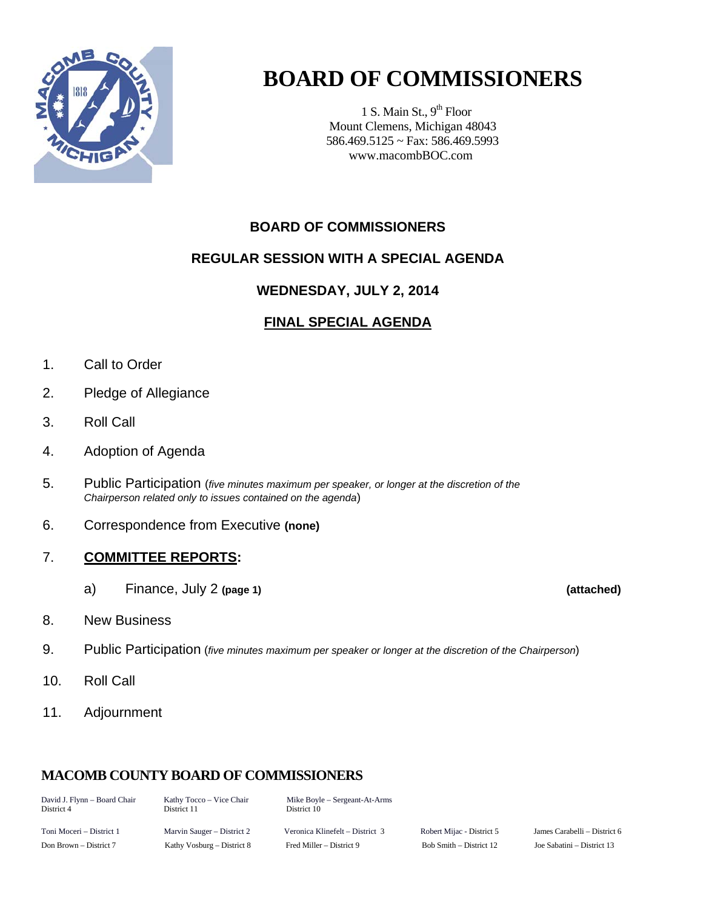

# **BOARD OF COMMISSIONERS**

1 S. Main St.,  $9<sup>th</sup>$  Floor Mount Clemens, Michigan 48043 586.469.5125 ~ Fax: 586.469.5993 www.macombBOC.com

# **BOARD OF COMMISSIONERS**

# **REGULAR SESSION WITH A SPECIAL AGENDA**

## **WEDNESDAY, JULY 2, 2014**

## **FINAL SPECIAL AGENDA**

- 1. Call to Order
- 2. Pledge of Allegiance
- 3. Roll Call
- 4. Adoption of Agenda
- 5. Public Participation (*five minutes maximum per speaker, or longer at the discretion of the Chairperson related only to issues contained on the agenda*)
- 6. Correspondence from Executive **(none)**

## 7. **COMMITTEE REPORTS:**

- a) Finance, July 2 **(page 1) (attached)**
- 8. New Business
- 9. Public Participation (*five minutes maximum per speaker or longer at the discretion of the Chairperson*)
- 10. Roll Call
- 11. Adjournment

# **MACOMB COUNTY BOARD OF COMMISSIONERS**

| David J. Flynn – Board Chair<br>District 4 | Kathy Tocco – Vice Chair<br>District 11 | Mike Boyle – Sergeant-At-Arms<br>District 10 |                           |                              |
|--------------------------------------------|-----------------------------------------|----------------------------------------------|---------------------------|------------------------------|
| Toni Moceri – District 1                   | Marvin Sauger – District 2              | Veronica Klinefelt – District 3              | Robert Mijac - District 5 | James Carabelli – District 6 |

Don Brown – District 7 Kathy Vosburg – District 8 Fred Miller – District 9 Bob Smith – District 12 Joe Sabatini – District 13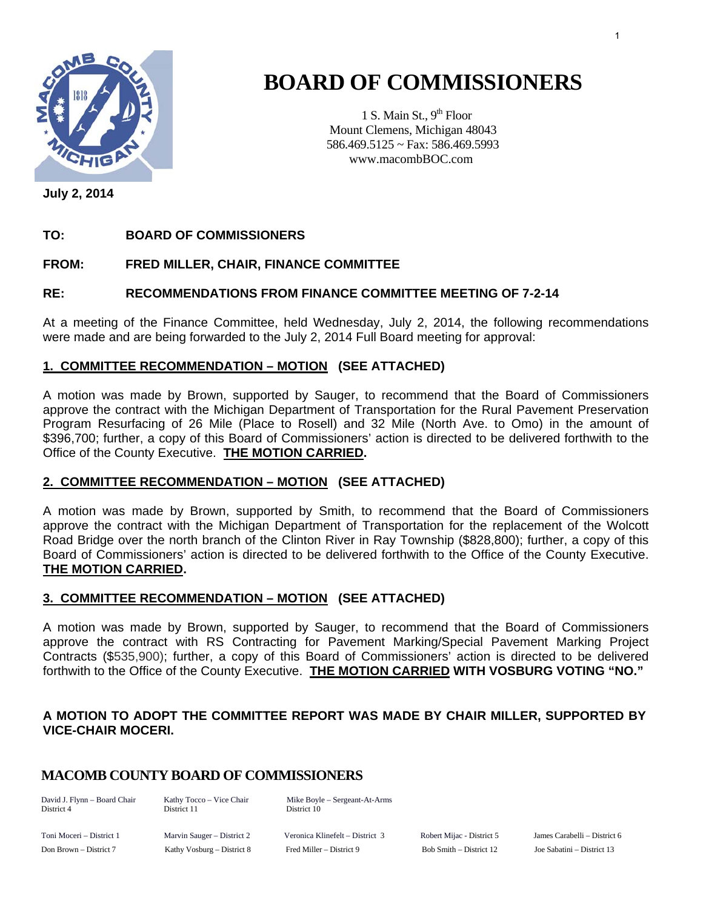

# **BOARD OF COMMISSIONERS**

1 S. Main St.,  $9<sup>th</sup>$  Floor Mount Clemens, Michigan 48043 586.469.5125 ~ Fax: 586.469.5993 www.macombBOC.com

**July 2, 2014** 

#### **TO: BOARD OF COMMISSIONERS**

#### **FROM: FRED MILLER, CHAIR, FINANCE COMMITTEE**

#### **RE: RECOMMENDATIONS FROM FINANCE COMMITTEE MEETING OF 7-2-14**

At a meeting of the Finance Committee, held Wednesday, July 2, 2014, the following recommendations were made and are being forwarded to the July 2, 2014 Full Board meeting for approval:

#### **1. COMMITTEE RECOMMENDATION – MOTION (SEE ATTACHED)**

A motion was made by Brown, supported by Sauger, to recommend that the Board of Commissioners approve the contract with the Michigan Department of Transportation for the Rural Pavement Preservation Program Resurfacing of 26 Mile (Place to Rosell) and 32 Mile (North Ave. to Omo) in the amount of \$396,700; further, a copy of this Board of Commissioners' action is directed to be delivered forthwith to the Office of the County Executive. **THE MOTION CARRIED.** 

#### **2. COMMITTEE RECOMMENDATION – MOTION (SEE ATTACHED)**

A motion was made by Brown, supported by Smith, to recommend that the Board of Commissioners approve the contract with the Michigan Department of Transportation for the replacement of the Wolcott Road Bridge over the north branch of the Clinton River in Ray Township (\$828,800); further, a copy of this Board of Commissioners' action is directed to be delivered forthwith to the Office of the County Executive. **THE MOTION CARRIED.** 

#### **3. COMMITTEE RECOMMENDATION – MOTION (SEE ATTACHED)**

A motion was made by Brown, supported by Sauger, to recommend that the Board of Commissioners approve the contract with RS Contracting for Pavement Marking/Special Pavement Marking Project Contracts (\$535,900); further, a copy of this Board of Commissioners' action is directed to be delivered forthwith to the Office of the County Executive. **THE MOTION CARRIED WITH VOSBURG VOTING "NO."** 

#### **A MOTION TO ADOPT THE COMMITTEE REPORT WAS MADE BY CHAIR MILLER, SUPPORTED BY VICE-CHAIR MOCERI.**

## **MACOMB COUNTY BOARD OF COMMISSIONERS**

District 4 District 11 District 10

David J. Flynn – Board Chair Kathy Tocco – Vice Chair Mike Boyle – Sergeant-At-Arms

Toni Moceri – District 1 Marvin Sauger – District 2 Veronica Klinefelt – District 3 Robert Mijac - District 5 James Carabelli – District 6 Don Brown – District 7 Kathy Vosburg – District 8 Fred Miller – District 9 Bob Smith – District 12 Joe Sabatini – District 13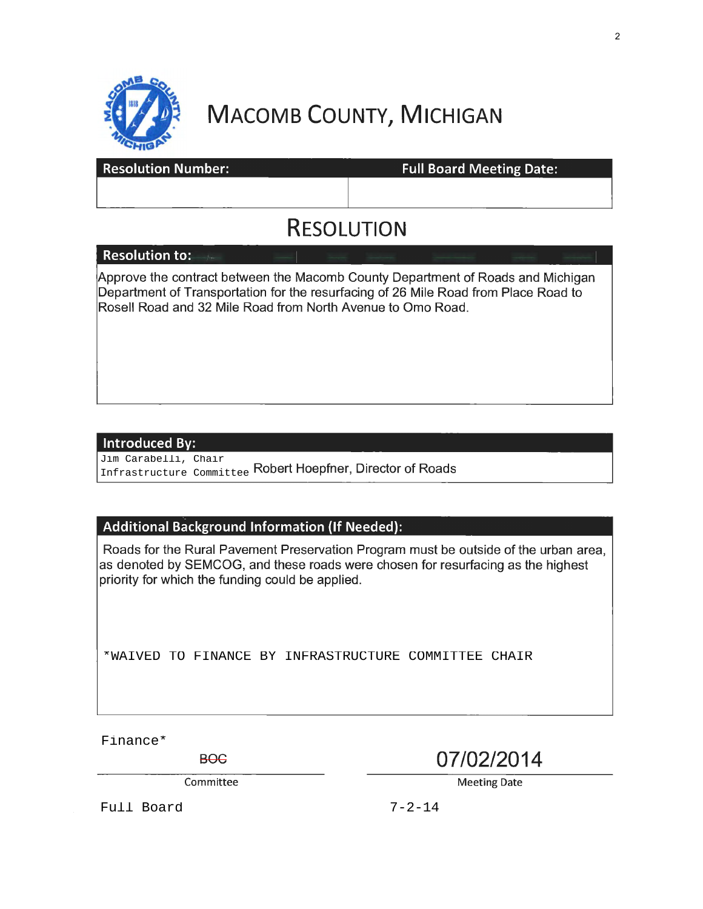

# **MACOMB COUNTY, MICHIGAN**

| <b>Resolution Number:</b> | <b>Full Board Meeting Date:</b> |  |  |  |
|---------------------------|---------------------------------|--|--|--|
|                           |                                 |  |  |  |
| <b>RESOLUTION</b>         |                                 |  |  |  |
| <b>Resolution to:</b>     |                                 |  |  |  |

Approve the contract between the Macomb County Department of Roads and Michigan Department of Transportation for the resurfacing of 26 Mile Road from Place Road to Rosell Road and 32 Mile Road from North Avenue to Omo Road.

#### Introduced By:

Infrastructure Committee Robert Hoepfner, Director of Roads Jim Carabelli, Chair

## **Additional Background Information (If Needed):**

Roads for the Rural Pavement Preservation Program must be outside of the urban area, as denoted by SEMCOG, and these roads were chosen for resurfacing as the highest priority for which the funding could be applied.

\*WAIVED TO FINANCE BY INFRASTRUCTURE COMMITTEE CHAIR<br>
Finance\*

BOC **07/02/2014** 

Committee Meeting Date

Full Board 7-2-14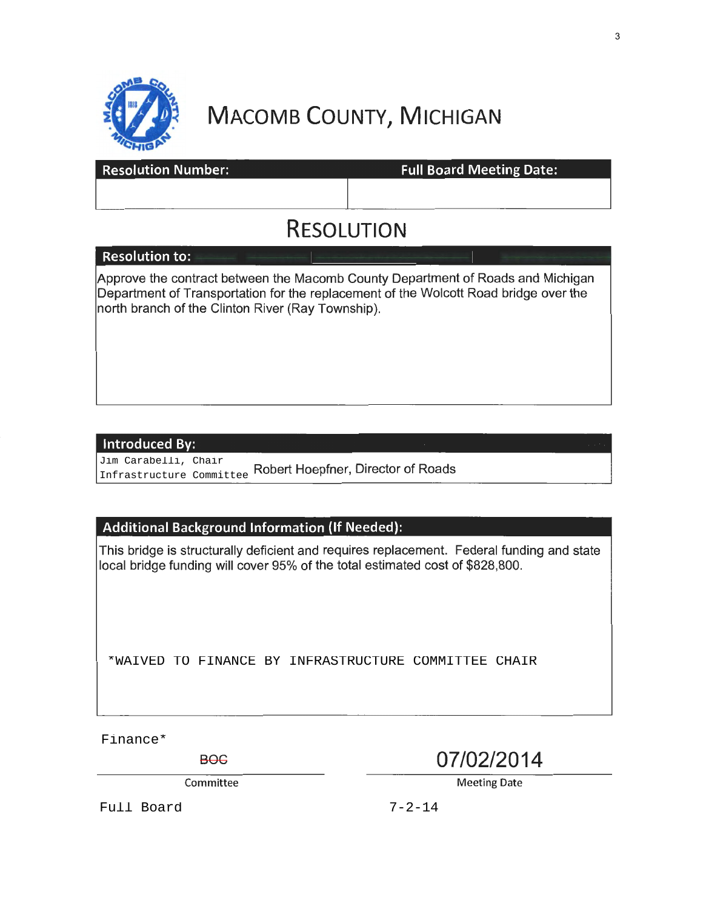

# **MACOMB COUNTY, MICHIGAN**

| <b>Resolution Number:</b>                                                                                                                                                                                                    | <b>Full Board Meeting Date:</b> |  |  |  |
|------------------------------------------------------------------------------------------------------------------------------------------------------------------------------------------------------------------------------|---------------------------------|--|--|--|
|                                                                                                                                                                                                                              |                                 |  |  |  |
| <b>RESOLUTION</b>                                                                                                                                                                                                            |                                 |  |  |  |
| <b>Resolution to:</b>                                                                                                                                                                                                        |                                 |  |  |  |
| Approve the contract between the Macomb County Department of Roads and Michigan<br>Department of Transportation for the replacement of the Wolcott Road bridge over the<br>north branch of the Clinton River (Ray Township). |                                 |  |  |  |

#### **Introduced By:**

Jim Carabelli, Chair Infrastructure Committee

Robert Hoepfner, Director of Roads

## **Additional Background Information** (If **Needed):**

This bridge is structurally deficient and requires replacement. Federal funding and state local bridge funding will cover 95% of the total estimated cost of \$828,800.

\*WAIVED TO FINANCE BY INFRASTRUCTURE COMMITTEE CHAIR

Finance\*

BOC **07/02/2014** 

Committee Meeting Date

Full Board 7-2-14